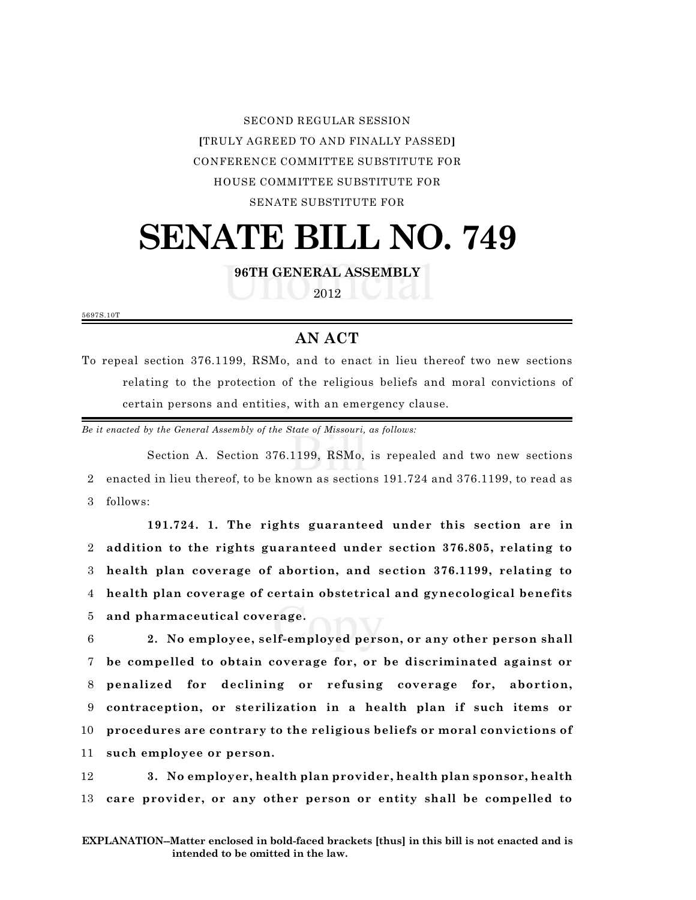SECOND REGULAR SESSION **[**TRULY AGREED TO AND FINALLY PASSED**]** CONFERENCE COMMITTEE SUBSTITUTE FOR HOUSE COMMITTEE SUBSTITUTE FOR SENATE SUBSTITUTE FOR

## **SENATE BILL NO. 749**

**96TH GENERAL ASSEMBLY**

2012

5697S.10T

## **AN ACT**

To repeal section 376.1199, RSMo, and to enact in lieu thereof two new sections relating to the protection of the religious beliefs and moral convictions of certain persons and entities, with an emergency clause.

*Be it enacted by the General Assembly of the State of Missouri, as follows:*

Section A. Section 376.1199, RSMo, is repealed and two new sections 2 enacted in lieu thereof, to be known as sections 191.724 and 376.1199, to read as 3 follows:

**191.724. 1. The rights guaranteed under this section are in addition to the rights guaranteed under section 376.805, relating to health plan coverage of abortion, and section 376.1199, relating to health plan coverage of certain obstetrical and gynecological benefits and pharmaceutical coverage.**

 **2. No employee, self-employed person, or any other person shall be compelled to obtain coverage for, or be discriminated against or penalized for declining or refusing coverage for, abortion, contraception, or sterilization in a health plan if such items or procedures are contrary to the religious beliefs or moral convictions of such employee or person.**

12 **3. No employer, health plan provider, health plan sponsor, health** 13 **care provider, or any other person or entity shall be compelled to**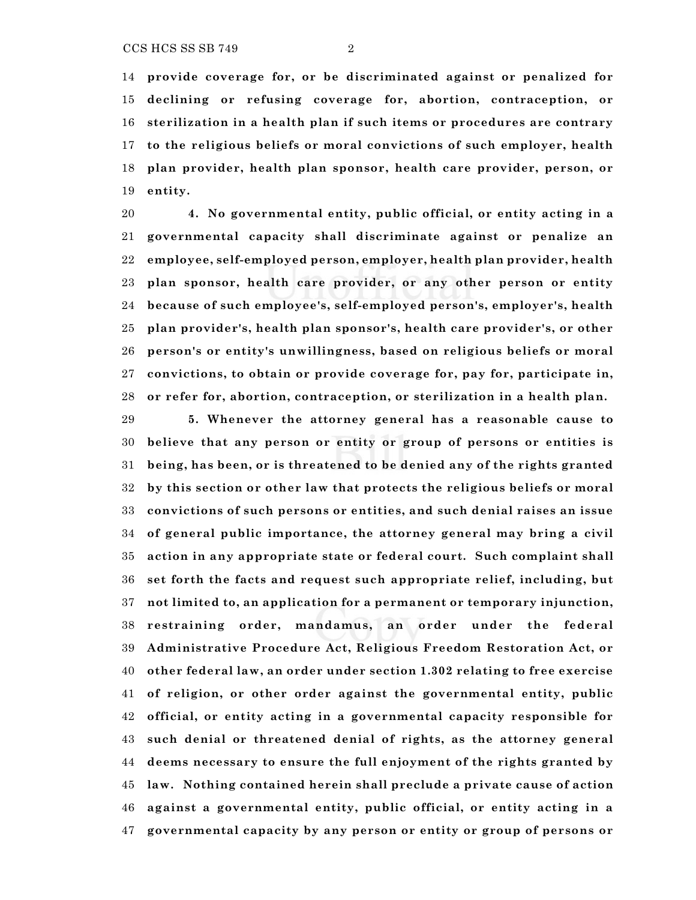**provide coverage for, or be discriminated against or penalized for declining or refusing coverage for, abortion, contraception, or sterilization in a health plan if such items or procedures are contrary to the religious beliefs or moral convictions of such employer, health plan provider, health plan sponsor, health care provider, person, or entity.**

 **4. No governmental entity, public official, or entity acting in a governmental capacity shall discriminate against or penalize an employee, self-employed person, employer, health plan provider, health plan sponsor, health care provider, or any other person or entity because of such employee's, self-employed person's, employer's, health plan provider's, health plan sponsor's, health care provider's, or other person's or entity's unwillingness, based on religious beliefs or moral convictions, to obtain or provide coverage for, pay for, participate in, or refer for, abortion, contraception, or sterilization in a health plan.**

 **5. Whenever the attorney general has a reasonable cause to believe that any person or entity or group of persons or entities is being, has been, or is threatened to be denied any of the rights granted by this section or other law that protects the religious beliefs or moral convictions of such persons or entities, and such denial raises an issue of general public importance, the attorney general may bring a civil action in any appropriate state or federal court. Such complaint shall set forth the facts and request such appropriate relief, including, but not limited to, an application for a permanent or temporary injunction, restraining order, mandamus, an order under the federal Administrative Procedure Act, Religious Freedom Restoration Act, or other federal law, an order under section 1.302 relating to free exercise of religion, or other order against the governmental entity, public official, or entity acting in a governmental capacity responsible for such denial or threatened denial of rights, as the attorney general deems necessary to ensure the full enjoyment of the rights granted by law. Nothing contained herein shall preclude a private cause of action against a governmental entity, public official, or entity acting in a governmental capacity by any person or entity or group of persons or**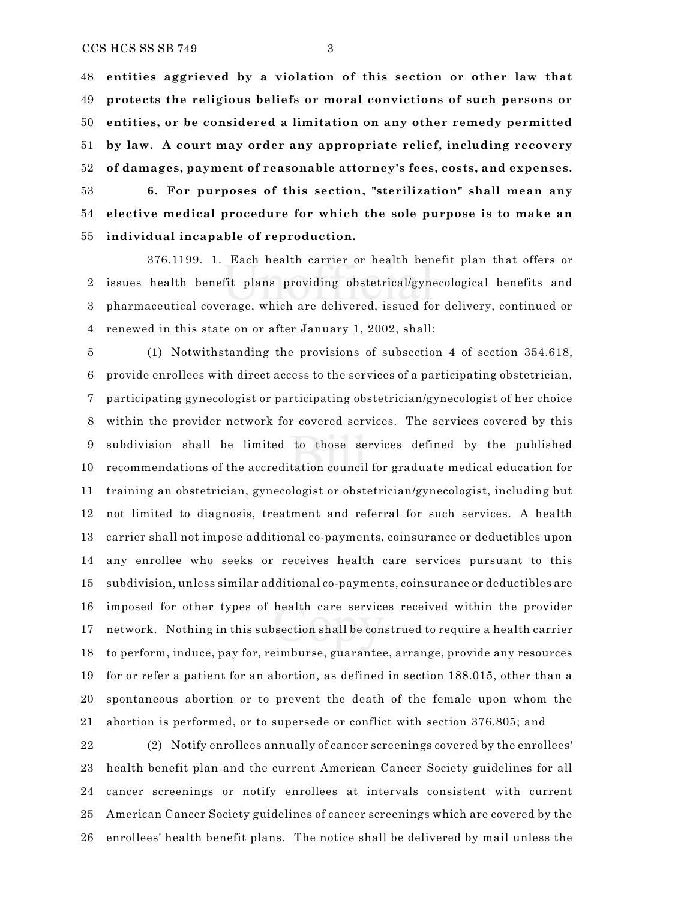**entities aggrieved by a violation of this section or other law that protects the religious beliefs or moral convictions of such persons or entities, or be considered a limitation on any other remedy permitted by law. A court may order any appropriate relief, including recovery of damages, payment of reasonable attorney's fees, costs, and expenses.**

 **6. For purposes of this section, "sterilization" shall mean any elective medical procedure for which the sole purpose is to make an individual incapable of reproduction.**

376.1199. 1. Each health carrier or health benefit plan that offers or issues health benefit plans providing obstetrical/gynecological benefits and pharmaceutical coverage, which are delivered, issued for delivery, continued or renewed in this state on or after January 1, 2002, shall:

 (1) Notwithstanding the provisions of subsection 4 of section 354.618, provide enrollees with direct access to the services of a participating obstetrician, participating gynecologist or participating obstetrician/gynecologist of her choice within the provider network for covered services. The services covered by this subdivision shall be limited to those services defined by the published recommendations of the accreditation council for graduate medical education for training an obstetrician, gynecologist or obstetrician/gynecologist, including but not limited to diagnosis, treatment and referral for such services. A health carrier shall not impose additional co-payments, coinsurance or deductibles upon any enrollee who seeks or receives health care services pursuant to this subdivision, unless similar additional co-payments, coinsurance or deductibles are imposed for other types of health care services received within the provider network. Nothing in this subsection shall be construed to require a health carrier to perform, induce, pay for, reimburse, guarantee, arrange, provide any resources for or refer a patient for an abortion, as defined in section 188.015, other than a spontaneous abortion or to prevent the death of the female upon whom the abortion is performed, or to supersede or conflict with section 376.805; and

 (2) Notify enrollees annually of cancer screenings covered by the enrollees' health benefit plan and the current American Cancer Society guidelines for all cancer screenings or notify enrollees at intervals consistent with current American Cancer Society guidelines of cancer screenings which are covered by the enrollees' health benefit plans. The notice shall be delivered by mail unless the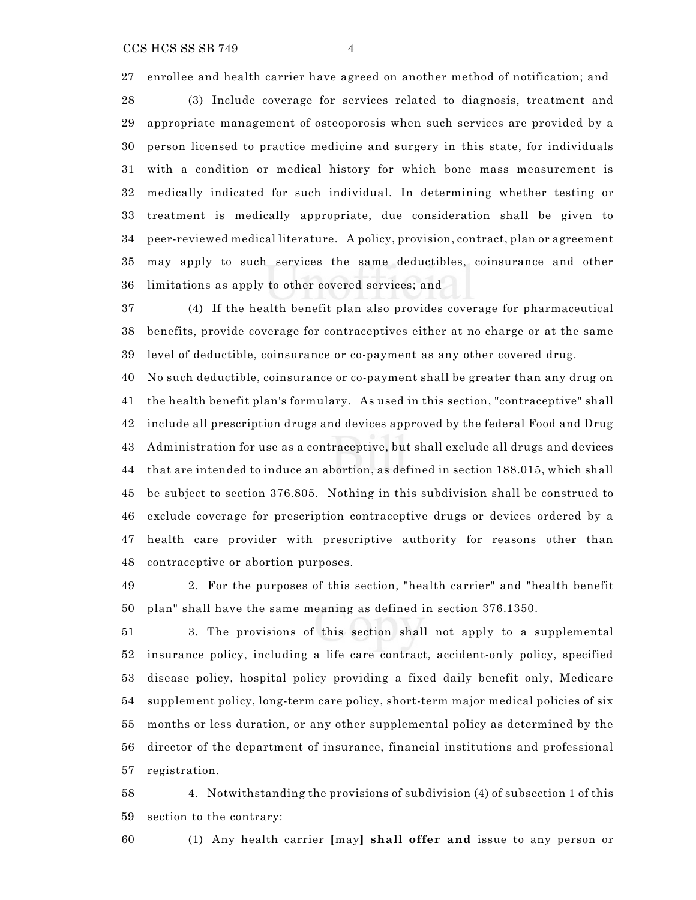enrollee and health carrier have agreed on another method of notification; and

 (3) Include coverage for services related to diagnosis, treatment and appropriate management of osteoporosis when such services are provided by a person licensed to practice medicine and surgery in this state, for individuals with a condition or medical history for which bone mass measurement is medically indicated for such individual. In determining whether testing or treatment is medically appropriate, due consideration shall be given to peer-reviewed medical literature. A policy, provision, contract, plan or agreement may apply to such services the same deductibles, coinsurance and other limitations as apply to other covered services; and

 (4) If the health benefit plan also provides coverage for pharmaceutical benefits, provide coverage for contraceptives either at no charge or at the same level of deductible, coinsurance or co-payment as any other covered drug.

 No such deductible, coinsurance or co-payment shall be greater than any drug on the health benefit plan's formulary. As used in this section, "contraceptive" shall include all prescription drugs and devices approved by the federal Food and Drug Administration for use as a contraceptive, but shall exclude all drugs and devices that are intended to induce an abortion, as defined in section 188.015, which shall be subject to section 376.805. Nothing in this subdivision shall be construed to exclude coverage for prescription contraceptive drugs or devices ordered by a health care provider with prescriptive authority for reasons other than contraceptive or abortion purposes.

 2. For the purposes of this section, "health carrier" and "health benefit plan" shall have the same meaning as defined in section 376.1350.

 3. The provisions of this section shall not apply to a supplemental insurance policy, including a life care contract, accident-only policy, specified disease policy, hospital policy providing a fixed daily benefit only, Medicare supplement policy, long-term care policy, short-term major medical policies of six months or less duration, or any other supplemental policy as determined by the director of the department of insurance, financial institutions and professional registration.

 4. Notwithstanding the provisions of subdivision (4) of subsection 1 of this section to the contrary:

(1) Any health carrier **[**may**] shall offer and** issue to any person or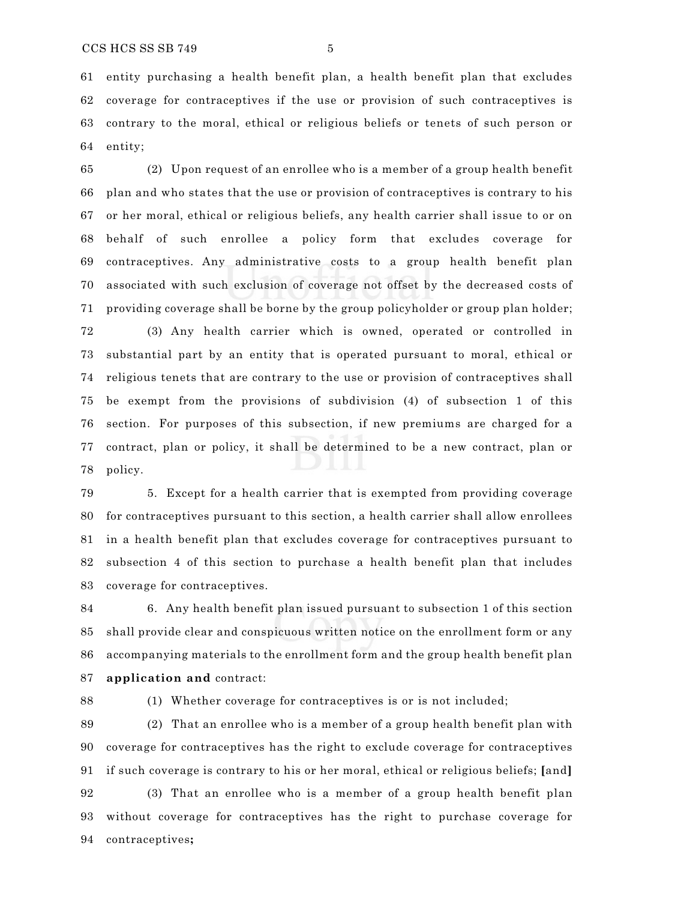entity purchasing a health benefit plan, a health benefit plan that excludes coverage for contraceptives if the use or provision of such contraceptives is contrary to the moral, ethical or religious beliefs or tenets of such person or entity;

 (2) Upon request of an enrollee who is a member of a group health benefit plan and who states that the use or provision of contraceptives is contrary to his or her moral, ethical or religious beliefs, any health carrier shall issue to or on behalf of such enrollee a policy form that excludes coverage for contraceptives. Any administrative costs to a group health benefit plan associated with such exclusion of coverage not offset by the decreased costs of providing coverage shall be borne by the group policyholder or group plan holder;

 (3) Any health carrier which is owned, operated or controlled in substantial part by an entity that is operated pursuant to moral, ethical or religious tenets that are contrary to the use or provision of contraceptives shall be exempt from the provisions of subdivision (4) of subsection 1 of this section. For purposes of this subsection, if new premiums are charged for a contract, plan or policy, it shall be determined to be a new contract, plan or policy.

 5. Except for a health carrier that is exempted from providing coverage for contraceptives pursuant to this section, a health carrier shall allow enrollees in a health benefit plan that excludes coverage for contraceptives pursuant to subsection 4 of this section to purchase a health benefit plan that includes coverage for contraceptives.

 6. Any health benefit plan issued pursuant to subsection 1 of this section shall provide clear and conspicuous written notice on the enrollment form or any accompanying materials to the enrollment form and the group health benefit plan **application and** contract:

(1) Whether coverage for contraceptives is or is not included;

 (2) That an enrollee who is a member of a group health benefit plan with coverage for contraceptives has the right to exclude coverage for contraceptives if such coverage is contrary to his or her moral, ethical or religious beliefs; **[**and**]**

 (3) That an enrollee who is a member of a group health benefit plan without coverage for contraceptives has the right to purchase coverage for contraceptives**;**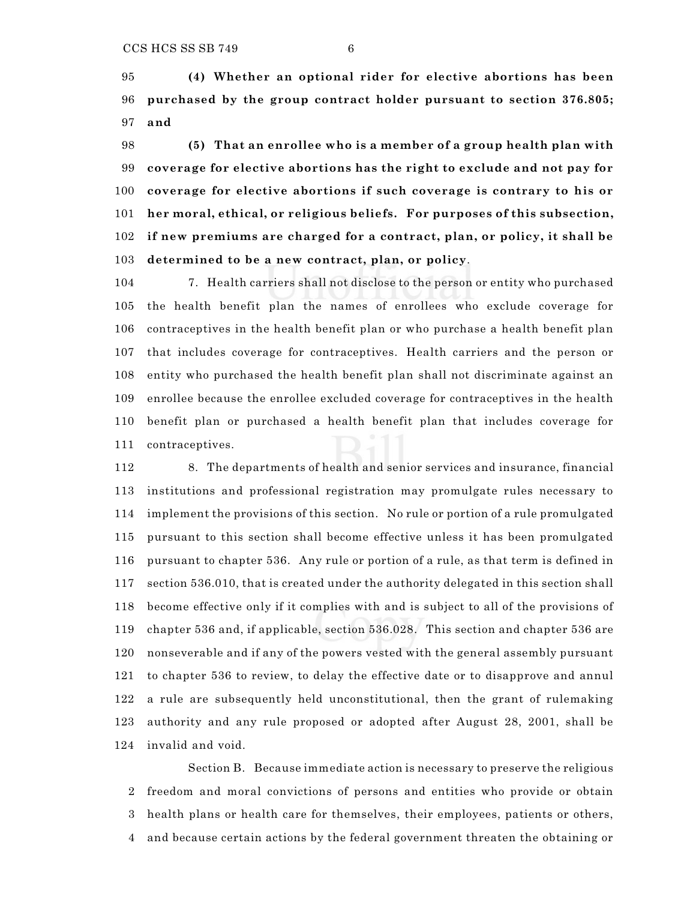**(4) Whether an optional rider for elective abortions has been purchased by the group contract holder pursuant to section 376.805; and**

 **(5) That an enrollee who is a member of a group health plan with coverage for elective abortions has the right to exclude and not pay for coverage for elective abortions if such coverage is contrary to his or her moral, ethical, or religious beliefs. For purposes of this subsection, if new premiums are charged for a contract, plan, or policy, it shall be determined to be a new contract, plan, or policy**.

 7. Health carriers shall not disclose to the person or entity who purchased the health benefit plan the names of enrollees who exclude coverage for contraceptives in the health benefit plan or who purchase a health benefit plan that includes coverage for contraceptives. Health carriers and the person or entity who purchased the health benefit plan shall not discriminate against an enrollee because the enrollee excluded coverage for contraceptives in the health benefit plan or purchased a health benefit plan that includes coverage for contraceptives.

 8. The departments of health and senior services and insurance, financial institutions and professional registration may promulgate rules necessary to implement the provisions of this section. No rule or portion of a rule promulgated pursuant to this section shall become effective unless it has been promulgated pursuant to chapter 536. Any rule or portion of a rule, as that term is defined in section 536.010, that is created under the authority delegated in this section shall become effective only if it complies with and is subject to all of the provisions of chapter 536 and, if applicable, section 536.028. This section and chapter 536 are nonseverable and if any of the powers vested with the general assembly pursuant to chapter 536 to review, to delay the effective date or to disapprove and annul a rule are subsequently held unconstitutional, then the grant of rulemaking authority and any rule proposed or adopted after August 28, 2001, shall be invalid and void.

Section B. Because immediate action is necessary to preserve the religious freedom and moral convictions of persons and entities who provide or obtain health plans or health care for themselves, their employees, patients or others, and because certain actions by the federal government threaten the obtaining or